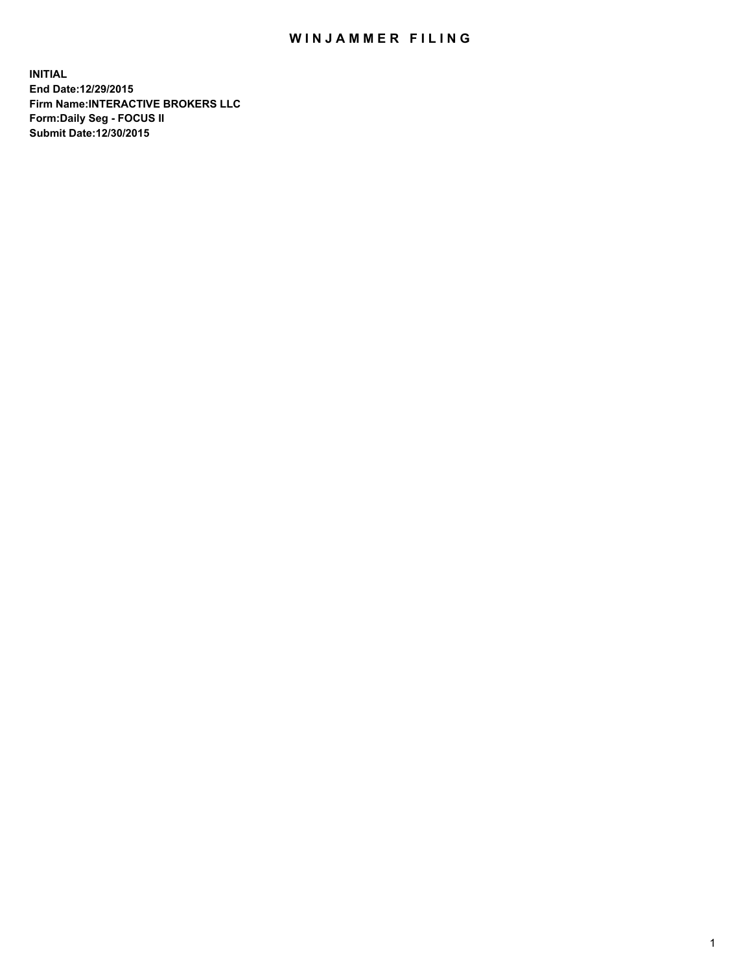## WIN JAMMER FILING

**INITIAL End Date:12/29/2015 Firm Name:INTERACTIVE BROKERS LLC Form:Daily Seg - FOCUS II Submit Date:12/30/2015**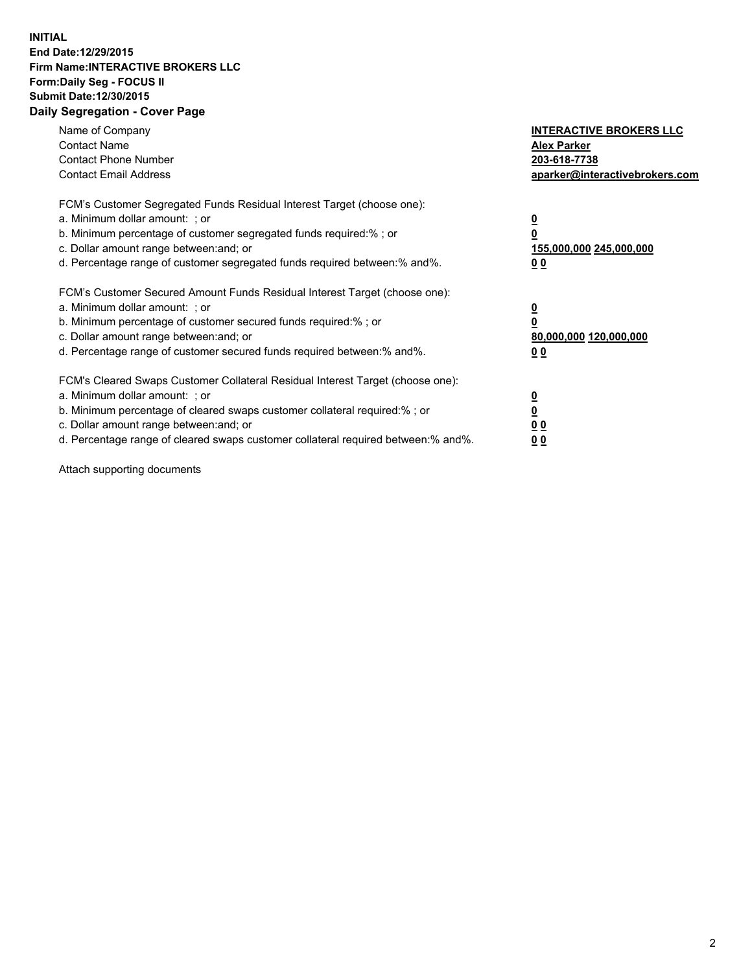## **INITIAL End Date:12/29/2015 Firm Name:INTERACTIVE BROKERS LLC Form:Daily Seg - FOCUS II Submit Date:12/30/2015 Daily Segregation - Cover Page**

| Name of Company<br><b>Contact Name</b><br><b>Contact Phone Number</b><br><b>Contact Email Address</b>                                                                                                                                                                                                                         | <b>INTERACTIVE BROKERS LLC</b><br><b>Alex Parker</b><br>203-618-7738<br>aparker@interactivebrokers.com |
|-------------------------------------------------------------------------------------------------------------------------------------------------------------------------------------------------------------------------------------------------------------------------------------------------------------------------------|--------------------------------------------------------------------------------------------------------|
| FCM's Customer Segregated Funds Residual Interest Target (choose one):<br>a. Minimum dollar amount: ; or<br>b. Minimum percentage of customer segregated funds required:% ; or<br>c. Dollar amount range between: and; or<br>d. Percentage range of customer segregated funds required between:% and%.                        | <u>0</u><br><u>155,000,000 245,000,000</u><br>00                                                       |
| FCM's Customer Secured Amount Funds Residual Interest Target (choose one):<br>a. Minimum dollar amount: ; or<br>b. Minimum percentage of customer secured funds required:% ; or<br>c. Dollar amount range between: and; or<br>d. Percentage range of customer secured funds required between: % and %.                        | $\overline{\mathbf{0}}$<br>80,000,000 120,000,000<br>00                                                |
| FCM's Cleared Swaps Customer Collateral Residual Interest Target (choose one):<br>a. Minimum dollar amount: ; or<br>b. Minimum percentage of cleared swaps customer collateral required:%; or<br>c. Dollar amount range between: and; or<br>d. Percentage range of cleared swaps customer collateral required between:% and%. | <u>0</u><br>0 <sub>0</sub><br><u>00</u>                                                                |

Attach supporting documents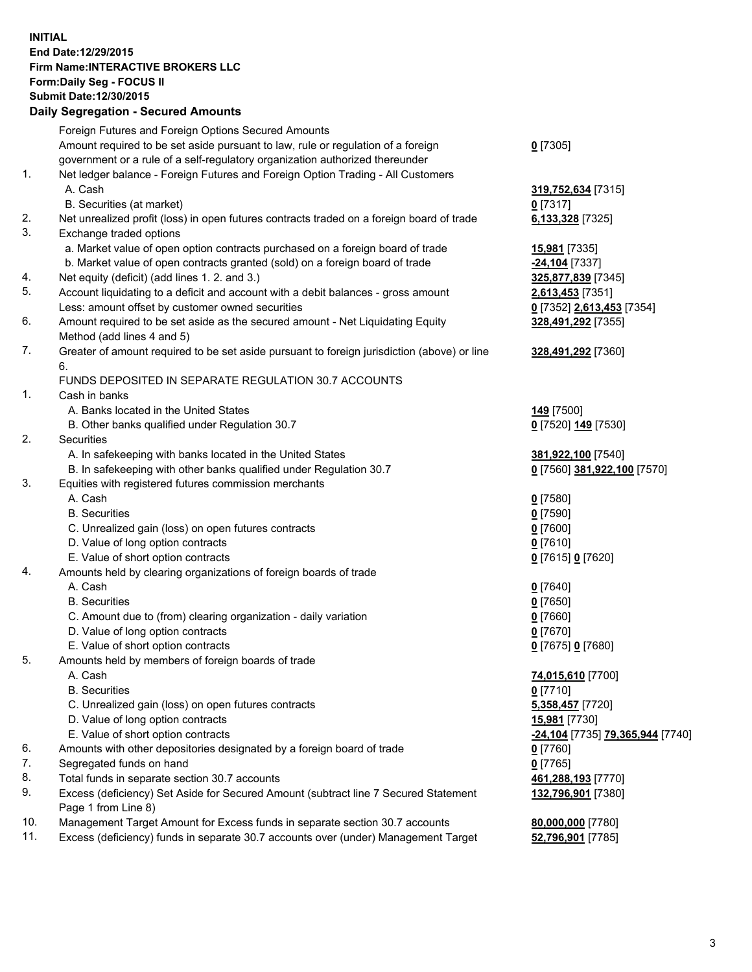## **INITIAL End Date:12/29/2015 Firm Name:INTERACTIVE BROKERS LLC Form:Daily Seg - FOCUS II Submit Date:12/30/2015 Daily Segregation - Secured Amounts**

|     | Daily Jegiegation - Jeculeu Alliounts                                                       |                                  |
|-----|---------------------------------------------------------------------------------------------|----------------------------------|
|     | Foreign Futures and Foreign Options Secured Amounts                                         |                                  |
|     | Amount required to be set aside pursuant to law, rule or regulation of a foreign            | $0$ [7305]                       |
|     | government or a rule of a self-regulatory organization authorized thereunder                |                                  |
| 1.  | Net ledger balance - Foreign Futures and Foreign Option Trading - All Customers             |                                  |
|     | A. Cash                                                                                     | 319,752,634 [7315]               |
|     | B. Securities (at market)                                                                   | $0$ [7317]                       |
| 2.  | Net unrealized profit (loss) in open futures contracts traded on a foreign board of trade   | 6,133,328 [7325]                 |
| 3.  | Exchange traded options                                                                     |                                  |
|     | a. Market value of open option contracts purchased on a foreign board of trade              | <b>15,981</b> [7335]             |
|     | b. Market value of open contracts granted (sold) on a foreign board of trade                | -24,104 [7337]                   |
| 4.  | Net equity (deficit) (add lines 1. 2. and 3.)                                               |                                  |
| 5.  |                                                                                             | 325,877,839 [7345]               |
|     | Account liquidating to a deficit and account with a debit balances - gross amount           | 2,613,453 [7351]                 |
|     | Less: amount offset by customer owned securities                                            | 0 [7352] 2,613,453 [7354]        |
| 6.  | Amount required to be set aside as the secured amount - Net Liquidating Equity              | 328,491,292 [7355]               |
|     | Method (add lines 4 and 5)                                                                  |                                  |
| 7.  | Greater of amount required to be set aside pursuant to foreign jurisdiction (above) or line | 328,491,292 [7360]               |
|     | 6.                                                                                          |                                  |
|     | FUNDS DEPOSITED IN SEPARATE REGULATION 30.7 ACCOUNTS                                        |                                  |
| 1.  | Cash in banks                                                                               |                                  |
|     | A. Banks located in the United States                                                       | <b>149</b> [7500]                |
|     | B. Other banks qualified under Regulation 30.7                                              | 0 [7520] 149 [7530]              |
| 2.  | Securities                                                                                  |                                  |
|     | A. In safekeeping with banks located in the United States                                   | 381,922,100 [7540]               |
|     | B. In safekeeping with other banks qualified under Regulation 30.7                          | 0 [7560] 381,922,100 [7570]      |
| 3.  | Equities with registered futures commission merchants                                       |                                  |
|     | A. Cash                                                                                     | $0$ [7580]                       |
|     | <b>B.</b> Securities                                                                        | $0$ [7590]                       |
|     | C. Unrealized gain (loss) on open futures contracts                                         | $0$ [7600]                       |
|     | D. Value of long option contracts                                                           | $0$ [7610]                       |
|     | E. Value of short option contracts                                                          | 0 [7615] 0 [7620]                |
| 4.  | Amounts held by clearing organizations of foreign boards of trade                           |                                  |
|     | A. Cash                                                                                     | $0$ [7640]                       |
|     | <b>B.</b> Securities                                                                        | $0$ [7650]                       |
|     | C. Amount due to (from) clearing organization - daily variation                             | $0$ [7660]                       |
|     | D. Value of long option contracts                                                           | $0$ [7670]                       |
|     | E. Value of short option contracts                                                          | 0 [7675] 0 [7680]                |
| 5.  | Amounts held by members of foreign boards of trade                                          |                                  |
|     | A. Cash                                                                                     | 74,015,610 [7700]                |
|     | <b>B.</b> Securities                                                                        | $0$ [7710]                       |
|     | C. Unrealized gain (loss) on open futures contracts                                         | 5,358,457 [7720]                 |
|     | D. Value of long option contracts                                                           | 15,981 [7730]                    |
|     | E. Value of short option contracts                                                          | -24,104 [7735] 79,365,944 [7740] |
| 6.  | Amounts with other depositories designated by a foreign board of trade                      | 0 [7760]                         |
| 7.  | Segregated funds on hand                                                                    | $0$ [7765]                       |
| 8.  | Total funds in separate section 30.7 accounts                                               |                                  |
| 9.  | Excess (deficiency) Set Aside for Secured Amount (subtract line 7 Secured Statement         | 461,288,193 [7770]               |
|     |                                                                                             | 132,796,901 [7380]               |
| 10. | Page 1 from Line 8)                                                                         |                                  |
| 11. | Management Target Amount for Excess funds in separate section 30.7 accounts                 | 80,000,000 [7780]                |
|     | Excess (deficiency) funds in separate 30.7 accounts over (under) Management Target          | 52,796,901 [7785]                |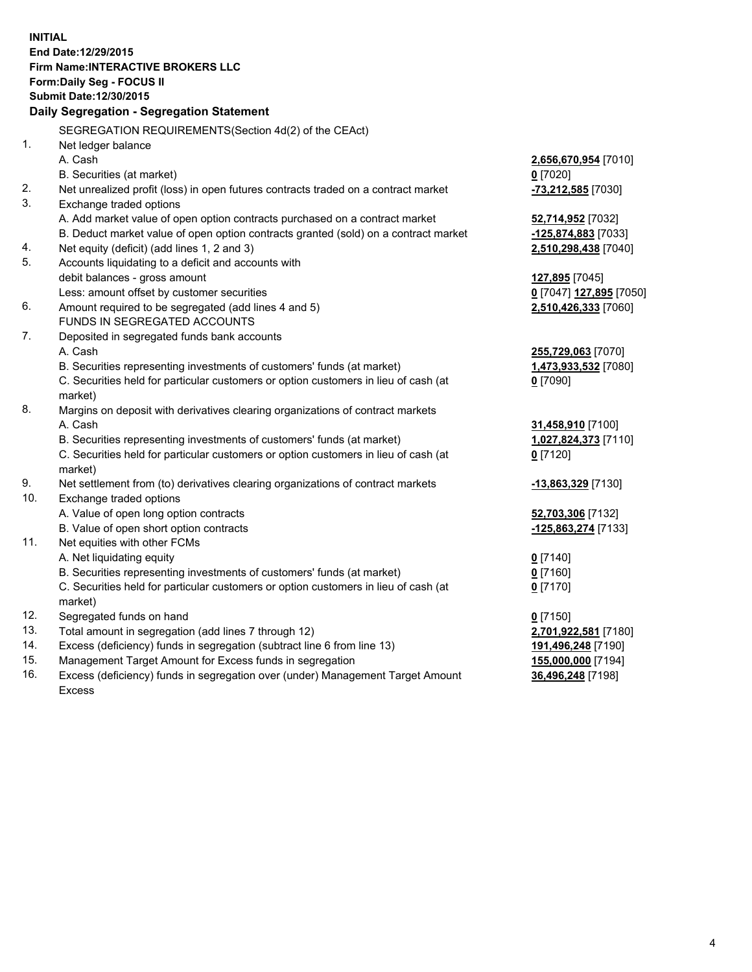**INITIAL End Date:12/29/2015 Firm Name:INTERACTIVE BROKERS LLC Form:Daily Seg - FOCUS II Submit Date:12/30/2015 Daily Segregation - Segregation Statement** SEGREGATION REQUIREMENTS(Section 4d(2) of the CEAct) 1. Net ledger balance A. Cash **2,656,670,954** [7010] B. Securities (at market) **0** [7020] 2. Net unrealized profit (loss) in open futures contracts traded on a contract market **-73,212,585** [7030] 3. Exchange traded options A. Add market value of open option contracts purchased on a contract market **52,714,952** [7032] B. Deduct market value of open option contracts granted (sold) on a contract market **-125,874,883** [7033] 4. Net equity (deficit) (add lines 1, 2 and 3) **2,510,298,438** [7040] 5. Accounts liquidating to a deficit and accounts with debit balances - gross amount **127,895** [7045] Less: amount offset by customer securities **0** [7047] **127,895** [7050] 6. Amount required to be segregated (add lines 4 and 5) **2,510,426,333** [7060] FUNDS IN SEGREGATED ACCOUNTS 7. Deposited in segregated funds bank accounts A. Cash **255,729,063** [7070] B. Securities representing investments of customers' funds (at market) **1,473,933,532** [7080] C. Securities held for particular customers or option customers in lieu of cash (at market) **0** [7090] 8. Margins on deposit with derivatives clearing organizations of contract markets A. Cash **31,458,910** [7100] B. Securities representing investments of customers' funds (at market) **1,027,824,373** [7110] C. Securities held for particular customers or option customers in lieu of cash (at market) **0** [7120] 9. Net settlement from (to) derivatives clearing organizations of contract markets **-13,863,329** [7130] 10. Exchange traded options A. Value of open long option contracts **52,703,306** [7132] B. Value of open short option contracts **-125,863,274** [7133] 11. Net equities with other FCMs A. Net liquidating equity **0** [7140] B. Securities representing investments of customers' funds (at market) **0** [7160] C. Securities held for particular customers or option customers in lieu of cash (at market) **0** [7170] 12. Segregated funds on hand **0** [7150] 13. Total amount in segregation (add lines 7 through 12) **2,701,922,581** [7180] 14. Excess (deficiency) funds in segregation (subtract line 6 from line 13) **191,496,248** [7190] 15. Management Target Amount for Excess funds in segregation **155,000,000** [7194]

16. Excess (deficiency) funds in segregation over (under) Management Target Amount Excess

**36,496,248** [7198]